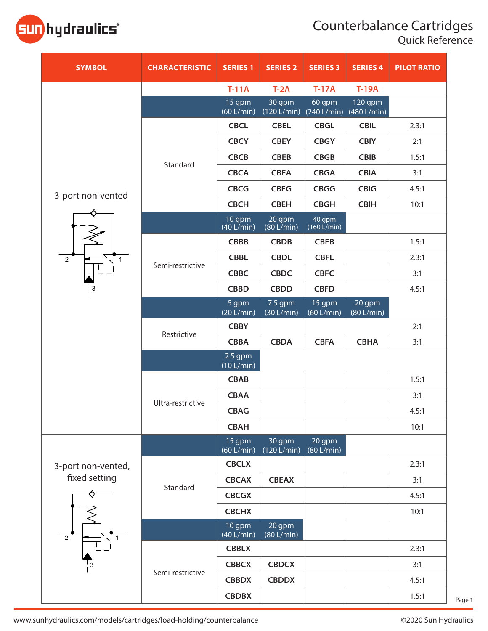## Counterbalance Cartridges

Quick Reference



| <b>SYMBOL</b>                                         | <b>CHARACTERISTIC</b> | <b>SERIES 1</b>                | <b>SERIES 2</b>       | <b>SERIES 3</b>                                       | <b>SERIES 4</b>                  | <b>PILOT RATIO</b> |
|-------------------------------------------------------|-----------------------|--------------------------------|-----------------------|-------------------------------------------------------|----------------------------------|--------------------|
|                                                       |                       | $T-11A$                        | $T-2A$                | $T-17A$                                               | <b>T-19A</b>                     |                    |
|                                                       |                       | 15 gpm<br>(60 L/min)           | 30 gpm                | 60 gpm<br>$(120 \text{ L/min})$ $(240 \text{ L/min})$ | 120 gpm<br>$(480 \text{ L/min})$ |                    |
|                                                       | Standard              | <b>CBCL</b>                    | <b>CBEL</b>           | <b>CBGL</b>                                           | <b>CBIL</b>                      | 2.3:1              |
|                                                       |                       | <b>CBCY</b>                    | <b>CBEY</b>           | <b>CBGY</b>                                           | <b>CBIY</b>                      | 2:1                |
|                                                       |                       | <b>CBCB</b>                    | <b>CBEB</b>           | <b>CBGB</b>                                           | <b>CBIB</b>                      | 1.5:1              |
|                                                       |                       | <b>CBCA</b>                    | <b>CBEA</b>           | <b>CBGA</b>                                           | <b>CBIA</b>                      | 3:1                |
| 3-port non-vented                                     |                       | <b>CBCG</b>                    | <b>CBEG</b>           | <b>CBGG</b>                                           | <b>CBIG</b>                      | 4.5:1              |
|                                                       |                       | <b>CBCH</b>                    | <b>CBEH</b>           | <b>CBGH</b>                                           | <b>CBIH</b>                      | 10:1               |
|                                                       |                       | 10 gpm<br>$(40 \text{ L/min})$ | 20 gpm<br>(80 L/min)  | 40 gpm<br>$(160 \tilde{L/min})$                       |                                  |                    |
|                                                       |                       | <b>CBBB</b>                    | <b>CBDB</b>           | <b>CBFB</b>                                           |                                  | 1.5:1              |
| $\overline{2}$<br>$\mathbf{1}$                        | Semi-restrictive      | <b>CBBL</b>                    | <b>CBDL</b>           | <b>CBFL</b>                                           |                                  | 2.3:1              |
|                                                       |                       | <b>CBBC</b>                    | <b>CBDC</b>           | <b>CBFC</b>                                           |                                  | 3:1                |
|                                                       |                       | <b>CBBD</b>                    | <b>CBDD</b>           | <b>CBFD</b>                                           |                                  | 4.5:1              |
|                                                       |                       | 5 gpm<br>(20 L/min)            | 7.5 gpm<br>(30 L/min) | 15 gpm<br>(60 L/min)                                  | 20 gpm<br>$(80 \text{ L/min})$   |                    |
|                                                       | Restrictive           | <b>CBBY</b>                    |                       |                                                       |                                  | 2:1                |
|                                                       |                       | <b>CBBA</b>                    | <b>CBDA</b>           | <b>CBFA</b>                                           | <b>CBHA</b>                      | 3:1                |
|                                                       |                       | $2.5$ gpm<br>(10 L/min)        |                       |                                                       |                                  |                    |
|                                                       |                       | <b>CBAB</b>                    |                       |                                                       |                                  | 1.5:1              |
|                                                       | Ultra-restrictive     | <b>CBAA</b>                    |                       |                                                       |                                  | 3:1                |
|                                                       |                       | <b>CBAG</b>                    |                       |                                                       |                                  | 4.5:1              |
|                                                       |                       | <b>CBAH</b>                    |                       |                                                       |                                  | 10:1               |
|                                                       |                       | 15 gpm<br>(60 L/min)           | 30 gpm<br>(120 L/min) | 20 gpm<br>(80 L/min)                                  |                                  |                    |
| 3-port non-vented,<br>fixed setting<br>$\overline{2}$ | Standard              | <b>CBCLX</b>                   |                       |                                                       |                                  | 2.3:1              |
|                                                       |                       | <b>CBCAX</b>                   | <b>CBEAX</b>          |                                                       |                                  | 3:1                |
|                                                       |                       | <b>CBCGX</b>                   |                       |                                                       |                                  | 4.5:1              |
|                                                       |                       | <b>CBCHX</b>                   |                       |                                                       |                                  | 10:1               |
|                                                       |                       | 10 gpm<br>(40 L/min)           | 20 gpm<br>(80 L/min)  |                                                       |                                  |                    |
|                                                       | Semi-restrictive      | <b>CBBLX</b>                   |                       |                                                       |                                  | 2.3:1              |
|                                                       |                       | <b>CBBCX</b>                   | <b>CBDCX</b>          |                                                       |                                  | 3:1                |
|                                                       |                       | <b>CBBDX</b>                   | <b>CBDDX</b>          |                                                       |                                  | 4.5:1              |
|                                                       |                       | <b>CBDBX</b>                   |                       |                                                       |                                  | 1.5:1              |

www.sunhydraulics.com/models/cartridges/load-holding/counterbalance ©2020 Sun Hydraulics